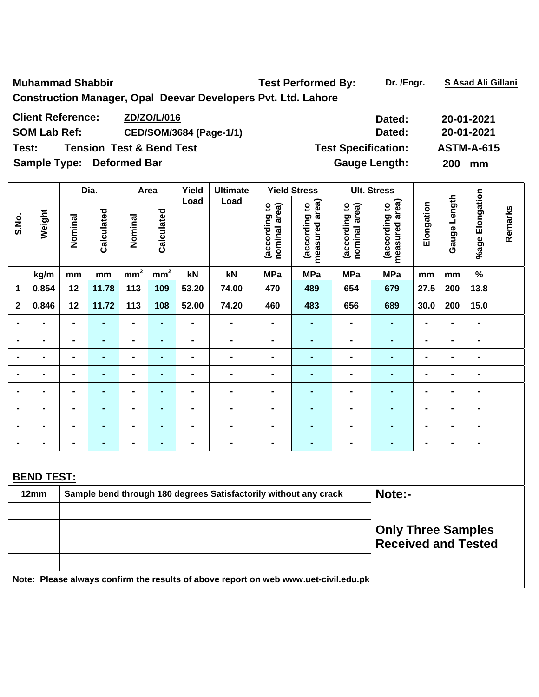Muhammad Shabbir **National Shabbir Test Performed By:** Dr. /Engr. S Asad Ali Gillani **Construction Manager, Opal Deevar Developers Pvt. Ltd. Lahore** 

| <b>Client Reference:</b>  | ZD/ZO/L/016                         | Dated:                     | 20-01-2021        |
|---------------------------|-------------------------------------|----------------------------|-------------------|
| <b>SOM Lab Ref:</b>       | CED/SOM/3684 (Page-1/1)             | Dated:                     | 20-01-2021        |
| Test:                     | <b>Tension Test &amp; Bend Test</b> | <b>Test Specification:</b> | <b>ASTM-A-615</b> |
| Sample Type: Deformed Bar |                                     | <b>Gauge Length:</b>       | <b>200</b><br>mm  |

|                         |                          |                                                         | Dia.           |                 | Area           |                              | Yield<br><b>Ultimate</b>                                                            | <b>Yield Stress</b>            |                                 |                                | <b>Ult. Stress</b>              |                          |                |                              |         |
|-------------------------|--------------------------|---------------------------------------------------------|----------------|-----------------|----------------|------------------------------|-------------------------------------------------------------------------------------|--------------------------------|---------------------------------|--------------------------------|---------------------------------|--------------------------|----------------|------------------------------|---------|
| S.No.                   | Weight                   | Nominal                                                 | Calculated     | Nominal         | Calculated     | Load                         | Load                                                                                | (according to<br>nominal area) | measured area)<br>(according to | (according to<br>nominal area) | measured area)<br>(according to | Elongation               | Gauge Length   | %age Elongation              | Remarks |
|                         | kg/m                     | mm                                                      | mm             | mm <sup>2</sup> | $mm^2$         | kN                           | kN                                                                                  | <b>MPa</b>                     | <b>MPa</b>                      | <b>MPa</b>                     | <b>MPa</b>                      | mm                       | mm             | $\%$                         |         |
| 1                       | 0.854                    | 12                                                      | 11.78          | 113             | 109            | 53.20                        | 74.00                                                                               | 470                            | 489                             | 654                            | 679                             | 27.5                     | 200            | 13.8                         |         |
| $\overline{\mathbf{2}}$ | 0.846                    | 12                                                      | 11.72          | 113             | 108            | 52.00                        | 74.20                                                                               | 460                            | 483                             | 656                            | 689                             | 30.0                     | 200            | 15.0                         |         |
|                         | $\overline{a}$           | $\blacksquare$                                          |                | $\blacksquare$  | $\blacksquare$ | $\overline{a}$               | -                                                                                   | $\blacksquare$                 | ۰                               | $\blacksquare$                 | $\blacksquare$                  |                          | $\blacksquare$ | L,                           |         |
| $\blacksquare$          | $\overline{\phantom{0}}$ | $\blacksquare$                                          | $\blacksquare$ | $\blacksquare$  | $\blacksquare$ | $\qquad \qquad \blacksquare$ | $\blacksquare$                                                                      | $\qquad \qquad \blacksquare$   | $\blacksquare$                  | $\blacksquare$                 | $\blacksquare$                  | $\overline{\phantom{a}}$ | $\blacksquare$ | $\blacksquare$               |         |
| $\blacksquare$          | $\blacksquare$           | $\blacksquare$                                          | $\blacksquare$ | $\blacksquare$  | $\blacksquare$ | $\blacksquare$               | $\blacksquare$                                                                      | $\blacksquare$                 | $\blacksquare$                  | $\blacksquare$                 | $\blacksquare$                  | $\blacksquare$           | $\blacksquare$ | $\qquad \qquad \blacksquare$ |         |
| $\blacksquare$          | $\blacksquare$           | $\blacksquare$                                          | ٠              | $\blacksquare$  | $\blacksquare$ | -                            | $\blacksquare$                                                                      | $\blacksquare$                 | $\blacksquare$                  | $\blacksquare$                 | $\blacksquare$                  | $\overline{\phantom{a}}$ | $\blacksquare$ | $\blacksquare$               |         |
|                         | $\blacksquare$           | $\blacksquare$                                          | $\blacksquare$ | $\blacksquare$  | ÷,             | $\blacksquare$               | $\blacksquare$                                                                      | $\blacksquare$                 | $\blacksquare$                  | $\blacksquare$                 | $\blacksquare$                  | $\overline{\phantom{a}}$ | $\blacksquare$ | L,                           |         |
|                         | $\blacksquare$           |                                                         | $\blacksquare$ | $\blacksquare$  | ٠              | -                            | -                                                                                   | $\blacksquare$                 | $\blacksquare$                  |                                | $\blacksquare$                  |                          | $\blacksquare$ | $\blacksquare$               |         |
|                         | $\blacksquare$           |                                                         |                | $\blacksquare$  | -              | $\blacksquare$               | $\blacksquare$                                                                      | $\blacksquare$                 | $\blacksquare$                  | $\blacksquare$                 | ٠                               |                          | $\blacksquare$ | $\blacksquare$               |         |
| $\blacksquare$          | -                        |                                                         | $\blacksquare$ | $\blacksquare$  | -              | $\blacksquare$               | $\blacksquare$                                                                      | $\blacksquare$                 | $\blacksquare$                  | $\blacksquare$                 | $\blacksquare$                  | $\overline{\phantom{0}}$ | $\blacksquare$ | $\blacksquare$               |         |
|                         |                          |                                                         |                |                 |                |                              |                                                                                     |                                |                                 |                                |                                 |                          |                |                              |         |
|                         | <b>BEND TEST:</b>        |                                                         |                |                 |                |                              |                                                                                     |                                |                                 |                                |                                 |                          |                |                              |         |
|                         | 12mm                     |                                                         |                |                 |                |                              | Sample bend through 180 degrees Satisfactorily without any crack                    |                                |                                 |                                | Note:-                          |                          |                |                              |         |
|                         |                          |                                                         |                |                 |                |                              |                                                                                     |                                |                                 |                                |                                 |                          |                |                              |         |
|                         |                          | <b>Only Three Samples</b><br><b>Received and Tested</b> |                |                 |                |                              |                                                                                     |                                |                                 |                                |                                 |                          |                |                              |         |
|                         |                          |                                                         |                |                 |                |                              | Note: Please always confirm the results of above report on web www.uet-civil.edu.pk |                                |                                 |                                |                                 |                          |                |                              |         |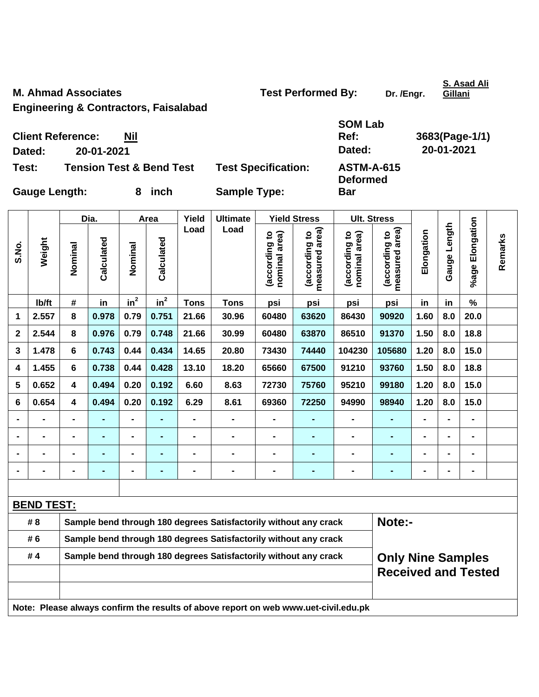**M. Ahmad Associates**  Test Performed By: Dr. /Engr.

**S. Asad Ali Gillani**

**Engineering & Contractors, Faisalabad** 

|                      | <b>Client Reference:</b> | Nil                                 |                            | <b>SOM Lab</b><br>Ref:               | 3683(Page-1/1) |
|----------------------|--------------------------|-------------------------------------|----------------------------|--------------------------------------|----------------|
| Dated:               | 20-01-2021               |                                     |                            | Dated:                               | 20-01-2021     |
| Test:                |                          | <b>Tension Test &amp; Bend Test</b> | <b>Test Specification:</b> | <b>ASTM-A-615</b><br><b>Deformed</b> |                |
| <b>Gauge Length:</b> |                          | inch<br>8                           | <b>Sample Type:</b>        | <b>Bar</b>                           |                |

|              |                   |                         | Dia.           |                | Area           |                                                                  | Yield<br><b>Ultimate</b>                                                            |                                | <b>Yield Stress</b>             |                                | <b>Ult. Stress</b>                                     |                |                   |                 |         |
|--------------|-------------------|-------------------------|----------------|----------------|----------------|------------------------------------------------------------------|-------------------------------------------------------------------------------------|--------------------------------|---------------------------------|--------------------------------|--------------------------------------------------------|----------------|-------------------|-----------------|---------|
| S.No.        | Weight            | Nominal                 | Calculated     | Nominal        | Calculated     | Load                                                             | Load                                                                                | (according to<br>nominal area) | measured area)<br>(according to | nominal area)<br>(according to | measured area)<br>(according to                        | Elongation     | Length<br>Gauge I | %age Elongation | Remarks |
|              | lb/ft             | #                       | in             | $in^2$         | $in^2$         | <b>Tons</b>                                                      | <b>Tons</b>                                                                         | psi                            | psi                             | psi                            | psi                                                    | in             | in                | $\%$            |         |
| 1            | 2.557             | 8                       | 0.978          | 0.79           | 0.751          | 21.66                                                            | 30.96                                                                               | 60480                          | 63620                           | 86430                          | 90920                                                  | 1.60           | 8.0               | 20.0            |         |
| $\mathbf{2}$ | 2.544             | 8                       | 0.976          | 0.79           | 0.748          | 21.66                                                            | 30.99                                                                               | 60480                          | 63870                           | 86510                          | 91370                                                  | 1.50           | 8.0               | 18.8            |         |
| 3            | 1.478             | 6                       | 0.743          | 0.44           | 0.434          | 14.65                                                            | 20.80                                                                               | 73430                          | 74440                           | 104230                         | 105680                                                 | 1.20           | 8.0               | 15.0            |         |
| 4            | 1.455             | 6                       | 0.738          | 0.44           | 0.428          | 13.10                                                            | 18.20                                                                               | 65660                          | 67500                           | 91210                          | 93760                                                  | 1.50           | 8.0               | 18.8            |         |
| 5            | 0.652             | 4                       | 0.494          | 0.20           | 0.192          | 6.60                                                             | 8.63                                                                                | 72730                          | 75760                           | 95210                          | 99180                                                  | 1.20           | 8.0               | 15.0            |         |
| 6            | 0.654             | $\overline{\mathbf{4}}$ | 0.494          | 0.20           | 0.192          | 6.29                                                             | 8.61                                                                                | 69360                          | 72250                           | 94990                          | 98940                                                  | 1.20           | 8.0               | 15.0            |         |
|              | $\overline{a}$    | $\blacksquare$          | $\blacksquare$ | $\blacksquare$ |                | $\blacksquare$                                                   | $\qquad \qquad \blacksquare$                                                        | $\blacksquare$                 |                                 | $\blacksquare$                 | $\blacksquare$                                         | $\blacksquare$ |                   | $\blacksquare$  |         |
|              | $\blacksquare$    |                         | $\blacksquare$ | $\blacksquare$ |                | $\blacksquare$                                                   | $\blacksquare$                                                                      | $\blacksquare$                 | -                               |                                |                                                        | $\blacksquare$ | $\blacksquare$    | $\blacksquare$  |         |
|              | -                 | $\blacksquare$          | $\blacksquare$ | $\blacksquare$ | ٠              | $\blacksquare$                                                   | $\blacksquare$                                                                      | $\blacksquare$                 | $\blacksquare$                  | $\blacksquare$                 | $\blacksquare$                                         | $\blacksquare$ | $\blacksquare$    | $\blacksquare$  |         |
|              | $\blacksquare$    | $\blacksquare$          | ۰              | $\blacksquare$ | $\blacksquare$ | $\blacksquare$                                                   | $\blacksquare$                                                                      | $\blacksquare$                 | ä,                              | $\blacksquare$                 | $\blacksquare$                                         | $\blacksquare$ | $\blacksquare$    | $\blacksquare$  |         |
|              |                   |                         |                |                |                |                                                                  |                                                                                     |                                |                                 |                                |                                                        |                |                   |                 |         |
|              | <b>BEND TEST:</b> |                         |                |                |                |                                                                  |                                                                                     |                                |                                 |                                |                                                        |                |                   |                 |         |
|              | # 8               |                         |                |                |                |                                                                  | Sample bend through 180 degrees Satisfactorily without any crack                    |                                |                                 |                                | Note:-                                                 |                |                   |                 |         |
|              | # 6               |                         |                |                |                |                                                                  | Sample bend through 180 degrees Satisfactorily without any crack                    |                                |                                 |                                |                                                        |                |                   |                 |         |
| #4           |                   |                         |                |                |                | Sample bend through 180 degrees Satisfactorily without any crack |                                                                                     |                                |                                 |                                | <b>Only Nine Samples</b><br><b>Received and Tested</b> |                |                   |                 |         |
|              |                   |                         |                |                |                |                                                                  | Note: Please always confirm the results of above report on web www.uet-civil.edu.pk |                                |                                 |                                |                                                        |                |                   |                 |         |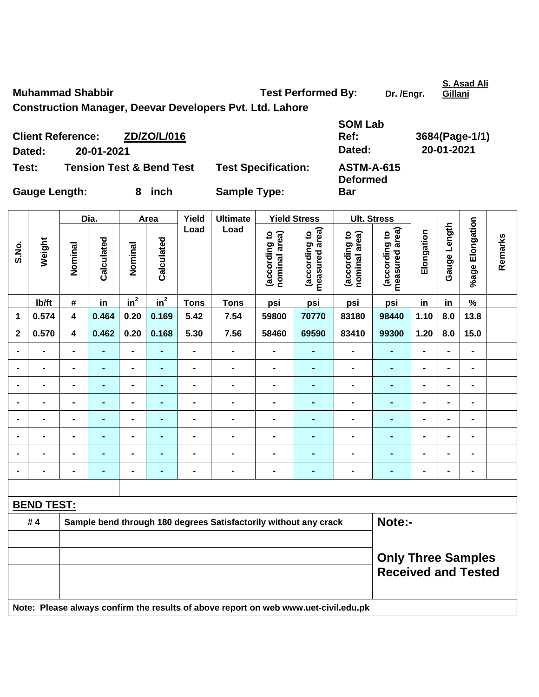**S. Asad Ali Gillani**

**Construction Manager, Deevar Developers Pvt. Ltd. Lahore** 

| <b>Client Reference:</b><br>Dated: | 20-01-2021                          | ZD/ZO/L/016 |                            | <b>SOM Lab</b><br>Ref:<br>Dated:     | 3684(Page-1/1)<br>20-01-2021 |
|------------------------------------|-------------------------------------|-------------|----------------------------|--------------------------------------|------------------------------|
| Test:                              | <b>Tension Test &amp; Bend Test</b> |             | <b>Test Specification:</b> | <b>ASTM-A-615</b><br><b>Deformed</b> |                              |
| <b>Gauge Length:</b>               |                                     | 8 inch      | <b>Sample Type:</b>        | <b>Bar</b>                           |                              |

|                |                   |                                                         | Dia.           |                          | Area            |                              | <b>Ultimate</b>                                                                     | <b>Yield Stress</b>            |                                 |                                | <b>Ult. Stress</b>              |                |                              |                 |         |
|----------------|-------------------|---------------------------------------------------------|----------------|--------------------------|-----------------|------------------------------|-------------------------------------------------------------------------------------|--------------------------------|---------------------------------|--------------------------------|---------------------------------|----------------|------------------------------|-----------------|---------|
| S.No.          | Weight            | Nominal                                                 | Calculated     | Nominal                  | Calculated      | Load                         | Load                                                                                | (according to<br>nominal area) | measured area)<br>(according to | nominal area)<br>(according to | measured area)<br>(according to | Elongation     | Gauge Length                 | %age Elongation | Remarks |
|                | Ib/ft             | #                                                       | in             | in <sup>2</sup>          | $\mathsf{in}^2$ | <b>Tons</b>                  | <b>Tons</b>                                                                         | psi                            | psi                             | psi                            | psi                             | in             | in                           | $\%$            |         |
| 1              | 0.574             | $\overline{\mathbf{4}}$                                 | 0.464          | 0.20                     | 0.169           | 5.42                         | 7.54                                                                                | 59800                          | 70770                           | 83180                          | 98440                           | 1.10           | 8.0                          | 13.8            |         |
| $\mathbf 2$    | 0.570             | 4                                                       | 0.462          | 0.20                     | 0.168           | 5.30                         | 7.56                                                                                | 58460                          | 69590                           | 83410                          | 99300                           | 1.20           | 8.0                          | 15.0            |         |
|                | $\blacksquare$    | $\blacksquare$                                          |                | $\blacksquare$           |                 | $\blacksquare$               | $\blacksquare$                                                                      | $\blacksquare$                 | $\blacksquare$                  | $\blacksquare$                 | $\blacksquare$                  | $\blacksquare$ | $\blacksquare$               | $\blacksquare$  |         |
| $\blacksquare$ | $\blacksquare$    | $\blacksquare$                                          | $\blacksquare$ | $\overline{\phantom{0}}$ | $\blacksquare$  | $\blacksquare$               | $\blacksquare$                                                                      | $\blacksquare$                 | $\blacksquare$                  | $\blacksquare$                 | $\blacksquare$                  | $\blacksquare$ | $\blacksquare$               | $\blacksquare$  |         |
|                | $\blacksquare$    | $\blacksquare$                                          | $\blacksquare$ | $\blacksquare$           | $\blacksquare$  | $\qquad \qquad \blacksquare$ | $\blacksquare$                                                                      | $\blacksquare$                 | $\blacksquare$                  | $\blacksquare$                 | $\blacksquare$                  | $\blacksquare$ | $\qquad \qquad \blacksquare$ | $\blacksquare$  |         |
|                | $\blacksquare$    | $\blacksquare$                                          | $\blacksquare$ | $\overline{\phantom{0}}$ | $\blacksquare$  | $\qquad \qquad \blacksquare$ | $\blacksquare$                                                                      | $\blacksquare$                 | $\blacksquare$                  | $\blacksquare$                 | $\blacksquare$                  | $\blacksquare$ | $\blacksquare$               | $\blacksquare$  |         |
|                | $\blacksquare$    | $\blacksquare$                                          | $\blacksquare$ | $\blacksquare$           | $\blacksquare$  | $\blacksquare$               | $\blacksquare$                                                                      | $\blacksquare$                 | $\blacksquare$                  | $\overline{\phantom{0}}$       | $\blacksquare$                  | $\blacksquare$ | $\blacksquare$               | $\blacksquare$  |         |
|                |                   |                                                         |                | -                        | $\blacksquare$  |                              | $\blacksquare$                                                                      |                                |                                 |                                | $\blacksquare$                  |                |                              | $\blacksquare$  |         |
|                |                   |                                                         |                | $\blacksquare$           |                 |                              | $\blacksquare$                                                                      | ۰                              |                                 | $\overline{\phantom{0}}$       |                                 |                |                              | $\blacksquare$  |         |
| $\blacksquare$ | $\blacksquare$    | $\blacksquare$                                          | $\blacksquare$ | $\blacksquare$           | $\blacksquare$  | $\blacksquare$               | $\blacksquare$                                                                      | $\blacksquare$                 | $\blacksquare$                  | $\blacksquare$                 | $\blacksquare$                  | $\blacksquare$ | $\blacksquare$               | $\blacksquare$  |         |
|                |                   |                                                         |                |                          |                 |                              |                                                                                     |                                |                                 |                                |                                 |                |                              |                 |         |
|                | <b>BEND TEST:</b> |                                                         |                |                          |                 |                              |                                                                                     |                                |                                 |                                |                                 |                |                              |                 |         |
|                | #4                |                                                         |                |                          |                 |                              | Sample bend through 180 degrees Satisfactorily without any crack                    |                                |                                 |                                | Note:-                          |                |                              |                 |         |
|                |                   |                                                         |                |                          |                 |                              |                                                                                     |                                |                                 |                                |                                 |                |                              |                 |         |
|                |                   | <b>Only Three Samples</b><br><b>Received and Tested</b> |                |                          |                 |                              |                                                                                     |                                |                                 |                                |                                 |                |                              |                 |         |
|                |                   |                                                         |                |                          |                 |                              | Note: Please always confirm the results of above report on web www.uet-civil.edu.pk |                                |                                 |                                |                                 |                |                              |                 |         |

**Muhammad Shabbir Common Common State Performed By:** Dr. /Engr.